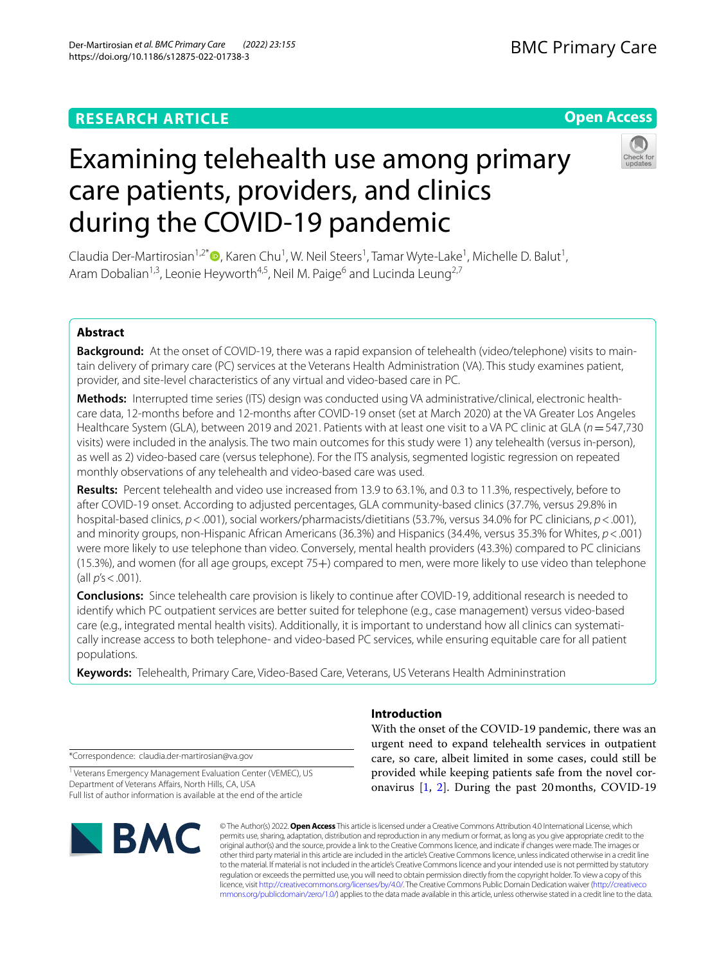# Examining telehealth use among primary care patients, providers, and clinics during the COVID‑19 pandemic

Claudia Der-Martirosian<sup>1,2[\\*](http://orcid.org/0000-0001-6841-198X)</sup><sup>®</sup>, Karen Chu<sup>1</sup>, W. Neil Steers<sup>1</sup>, Tamar Wyte-Lake<sup>1</sup>, Michelle D. Balut<sup>1</sup>, Aram Dobalian<sup>1,3</sup>, Leonie Heyworth<sup>4,5</sup>, Neil M. Paige<sup>6</sup> and Lucinda Leung<sup>2,7</sup>

# **Abstract**

Background: At the onset of COVID-19, there was a rapid expansion of telehealth (video/telephone) visits to maintain delivery of primary care (PC) services at the Veterans Health Administration (VA). This study examines patient, provider, and site-level characteristics of any virtual and video-based care in PC.

**Methods:** Interrupted time series (ITS) design was conducted using VA administrative/clinical, electronic health‑ care data, 12-months before and 12-months after COVID-19 onset (set at March 2020) at the VA Greater Los Angeles Healthcare System (GLA), between 2019 and 2021. Patients with at least one visit to a VA PC clinic at GLA (*n*=547,730 visits) were included in the analysis. The two main outcomes for this study were 1) any telehealth (versus in-person), as well as 2) video-based care (versus telephone). For the ITS analysis, segmented logistic regression on repeated monthly observations of any telehealth and video-based care was used.

**Results:** Percent telehealth and video use increased from 13.9 to 63.1%, and 0.3 to 11.3%, respectively, before to after COVID-19 onset. According to adjusted percentages, GLA community-based clinics (37.7%, versus 29.8% in hospital-based clinics, *p*<.001), social workers/pharmacists/dietitians (53.7%, versus 34.0% for PC clinicians, *p*<.001), and minority groups, non-Hispanic African Americans (36.3%) and Hispanics (34.4%, versus 35.3% for Whites, *p*<.001) were more likely to use telephone than video. Conversely, mental health providers (43.3%) compared to PC clinicians (15.3%), and women (for all age groups, except 75+) compared to men, were more likely to use video than telephone (all *p*'s<.001).

**Conclusions:** Since telehealth care provision is likely to continue after COVID-19, additional research is needed to identify which PC outpatient services are better suited for telephone (e.g., case management) versus video-based care (e.g., integrated mental health visits). Additionally, it is important to understand how all clinics can systematically increase access to both telephone- and video-based PC services, while ensuring equitable care for all patient populations.

**Keywords:** Telehealth, Primary Care, Video-Based Care, Veterans, US Veterans Health Admininstration

# **Introduction**

With the onset of the COVID-19 pandemic, there was an urgent need to expand telehealth services in outpatient care, so care, albeit limited in some cases, could still be provided while keeping patients safe from the novel coronavirus [\[1](#page-7-0), [2](#page-7-1)]. During the past 20months, COVID-19

© The Author(s) 2022. **Open Access** This article is licensed under a Creative Commons Attribution 4.0 International License, which permits use, sharing, adaptation, distribution and reproduction in any medium or format, as long as you give appropriate credit to the original author(s) and the source, provide a link to the Creative Commons licence, and indicate if changes were made. The images or other third party material in this article are included in the article's Creative Commons licence, unless indicated otherwise in a credit line to the material. If material is not included in the article's Creative Commons licence and your intended use is not permitted by statutory regulation or exceeds the permitted use, you will need to obtain permission directly from the copyright holder. To view a copy of this licence, visit [http://creativecommons.org/licenses/by/4.0/.](http://creativecommons.org/licenses/by/4.0/) The Creative Commons Public Domain Dedication waiver ([http://creativeco](http://creativecommons.org/publicdomain/zero/1.0/) [mmons.org/publicdomain/zero/1.0/](http://creativecommons.org/publicdomain/zero/1.0/)) applies to the data made available in this article, unless otherwise stated in a credit line to the data.

#### \*Correspondence: claudia.der-martirosian@va.gov

<sup>1</sup> Veterans Emergency Management Evaluation Center (VEMEC), US Department of Veterans Afairs, North Hills, CA, USA Full list of author information is available at the end of the article





# **Open Access**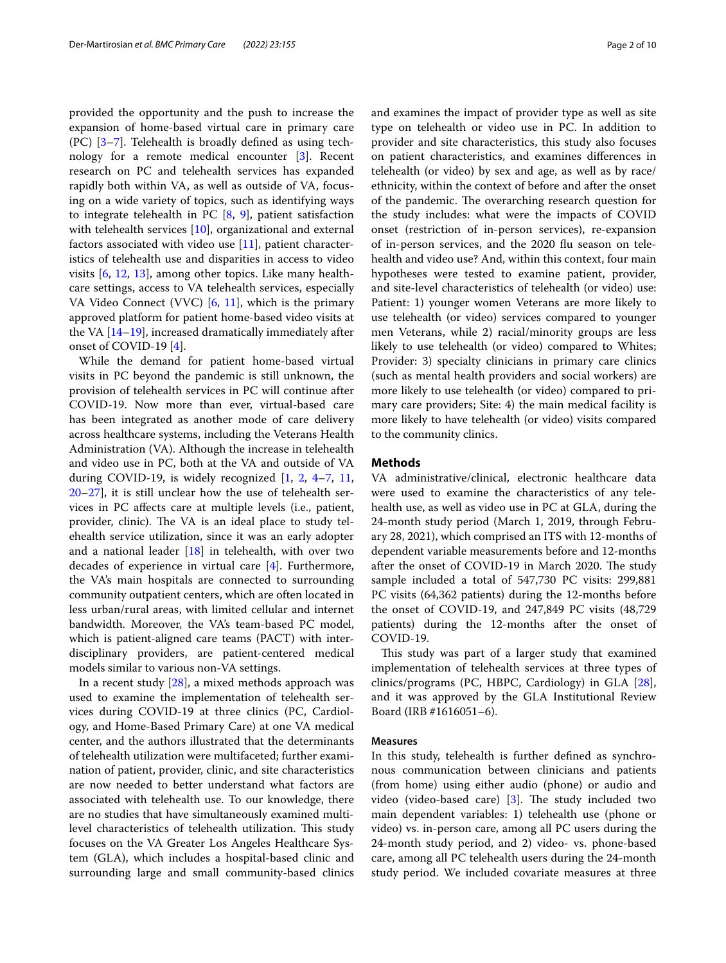provided the opportunity and the push to increase the expansion of home-based virtual care in primary care (PC) [[3](#page-7-2)[–7](#page-7-3)]. Telehealth is broadly defned as using technology for a remote medical encounter [[3\]](#page-7-2). Recent research on PC and telehealth services has expanded rapidly both within VA, as well as outside of VA, focusing on a wide variety of topics, such as identifying ways to integrate telehealth in PC [[8,](#page-8-0) [9\]](#page-8-1), patient satisfaction with telehealth services [[10](#page-8-2)], organizational and external factors associated with video use [[11\]](#page-8-3), patient characteristics of telehealth use and disparities in access to video visits [\[6,](#page-7-4) [12](#page-8-4), [13\]](#page-8-5), among other topics. Like many healthcare settings, access to VA telehealth services, especially VA Video Connect (VVC)  $[6, 11]$  $[6, 11]$  $[6, 11]$ , which is the primary approved platform for patient home-based video visits at the VA [[14–](#page-8-6)[19](#page-8-7)], increased dramatically immediately after onset of COVID-19 [\[4](#page-7-5)].

While the demand for patient home-based virtual visits in PC beyond the pandemic is still unknown, the provision of telehealth services in PC will continue after COVID-19. Now more than ever, virtual-based care has been integrated as another mode of care delivery across healthcare systems, including the Veterans Health Administration (VA). Although the increase in telehealth and video use in PC, both at the VA and outside of VA during COVID-19, is widely recognized [[1,](#page-7-0) [2,](#page-7-1) [4](#page-7-5)[–7](#page-7-3), [11](#page-8-3), [20](#page-8-8)[–27](#page-8-9)], it is still unclear how the use of telehealth services in PC afects care at multiple levels (i.e., patient, provider, clinic). The VA is an ideal place to study telehealth service utilization, since it was an early adopter and a national leader  $[18]$  $[18]$  in telehealth, with over two decades of experience in virtual care [\[4](#page-7-5)]. Furthermore, the VA's main hospitals are connected to surrounding community outpatient centers, which are often located in less urban/rural areas, with limited cellular and internet bandwidth. Moreover, the VA's team-based PC model, which is patient-aligned care teams (PACT) with interdisciplinary providers, are patient-centered medical models similar to various non-VA settings.

In a recent study [[28\]](#page-8-11), a mixed methods approach was used to examine the implementation of telehealth services during COVID-19 at three clinics (PC, Cardiology, and Home-Based Primary Care) at one VA medical center, and the authors illustrated that the determinants of telehealth utilization were multifaceted; further examination of patient, provider, clinic, and site characteristics are now needed to better understand what factors are associated with telehealth use. To our knowledge, there are no studies that have simultaneously examined multilevel characteristics of telehealth utilization. This study focuses on the VA Greater Los Angeles Healthcare System (GLA), which includes a hospital-based clinic and surrounding large and small community-based clinics and examines the impact of provider type as well as site type on telehealth or video use in PC. In addition to provider and site characteristics, this study also focuses on patient characteristics, and examines diferences in telehealth (or video) by sex and age, as well as by race/ ethnicity, within the context of before and after the onset of the pandemic. The overarching research question for the study includes: what were the impacts of COVID onset (restriction of in-person services), re-expansion of in-person services, and the 2020 fu season on telehealth and video use? And, within this context, four main hypotheses were tested to examine patient, provider, and site-level characteristics of telehealth (or video) use: Patient: 1) younger women Veterans are more likely to use telehealth (or video) services compared to younger men Veterans, while 2) racial/minority groups are less likely to use telehealth (or video) compared to Whites; Provider: 3) specialty clinicians in primary care clinics (such as mental health providers and social workers) are more likely to use telehealth (or video) compared to primary care providers; Site: 4) the main medical facility is more likely to have telehealth (or video) visits compared to the community clinics.

## **Methods**

VA administrative/clinical, electronic healthcare data were used to examine the characteristics of any telehealth use, as well as video use in PC at GLA, during the 24-month study period (March 1, 2019, through February 28, 2021), which comprised an ITS with 12-months of dependent variable measurements before and 12-months after the onset of COVID-19 in March 2020. The study sample included a total of 547,730 PC visits: 299,881 PC visits (64,362 patients) during the 12-months before the onset of COVID-19, and 247,849 PC visits (48,729 patients) during the 12-months after the onset of COVID-19.

This study was part of a larger study that examined implementation of telehealth services at three types of clinics/programs (PC, HBPC, Cardiology) in GLA [\[28](#page-8-11)], and it was approved by the GLA Institutional Review Board (IRB #1616051–6).

#### **Measures**

In this study, telehealth is further defned as synchronous communication between clinicians and patients (from home) using either audio (phone) or audio and video (video-based care)  $[3]$  $[3]$ . The study included two main dependent variables: 1) telehealth use (phone or video) vs. in-person care, among all PC users during the 24-month study period, and 2) video- vs. phone-based care, among all PC telehealth users during the 24-month study period. We included covariate measures at three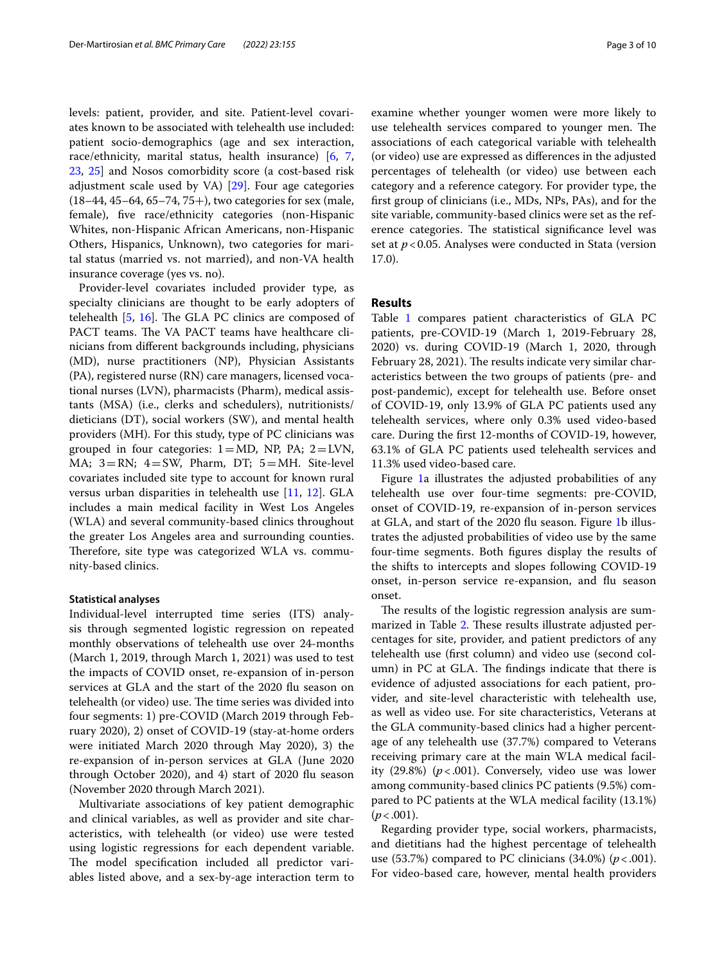levels: patient, provider, and site. Patient-level covariates known to be associated with telehealth use included: patient socio-demographics (age and sex interaction, race/ethnicity, marital status, health insurance) [[6,](#page-7-4) [7](#page-7-3), [23,](#page-8-12) [25](#page-8-13)] and Nosos comorbidity score (a cost-based risk adjustment scale used by VA) [[29\]](#page-8-14). Four age categories  $(18–44, 45–64, 65–74, 75+)$ , two categories for sex (male, female), fve race/ethnicity categories (non-Hispanic Whites, non-Hispanic African Americans, non-Hispanic Others, Hispanics, Unknown), two categories for marital status (married vs. not married), and non-VA health insurance coverage (yes vs. no).

Provider-level covariates included provider type, as specialty clinicians are thought to be early adopters of telehealth  $[5, 16]$  $[5, 16]$  $[5, 16]$ . The GLA PC clinics are composed of PACT teams. The VA PACT teams have healthcare clinicians from diferent backgrounds including, physicians (MD), nurse practitioners (NP), Physician Assistants (PA), registered nurse (RN) care managers, licensed vocational nurses (LVN), pharmacists (Pharm), medical assistants (MSA) (i.e., clerks and schedulers), nutritionists/ dieticians (DT), social workers (SW), and mental health providers (MH). For this study, type of PC clinicians was grouped in four categories:  $1 = MD$ , NP, PA;  $2 = LVN$ , MA; 3=RN; 4=SW, Pharm, DT; 5=MH. Site-level covariates included site type to account for known rural versus urban disparities in telehealth use [[11,](#page-8-3) [12](#page-8-4)]. GLA includes a main medical facility in West Los Angeles (WLA) and several community-based clinics throughout the greater Los Angeles area and surrounding counties. Therefore, site type was categorized WLA vs. community-based clinics.

#### **Statistical analyses**

Individual-level interrupted time series (ITS) analysis through segmented logistic regression on repeated monthly observations of telehealth use over 24-months (March 1, 2019, through March 1, 2021) was used to test the impacts of COVID onset, re-expansion of in-person services at GLA and the start of the 2020 fu season on telehealth (or video) use. The time series was divided into four segments: 1) pre-COVID (March 2019 through February 2020), 2) onset of COVID-19 (stay-at-home orders were initiated March 2020 through May 2020), 3) the re-expansion of in-person services at GLA (June 2020 through October 2020), and 4) start of 2020 fu season (November 2020 through March 2021).

Multivariate associations of key patient demographic and clinical variables, as well as provider and site characteristics, with telehealth (or video) use were tested using logistic regressions for each dependent variable. The model specification included all predictor variables listed above, and a sex-by-age interaction term to examine whether younger women were more likely to use telehealth services compared to younger men. The associations of each categorical variable with telehealth (or video) use are expressed as diferences in the adjusted percentages of telehealth (or video) use between each category and a reference category. For provider type, the frst group of clinicians (i.e., MDs, NPs, PAs), and for the site variable, community-based clinics were set as the reference categories. The statistical significance level was set at  $p$  < 0.05. Analyses were conducted in Stata (version 17.0).

# **Results**

Table [1](#page-3-0) compares patient characteristics of GLA PC patients, pre-COVID-19 (March 1, 2019-February 28, 2020) vs. during COVID-19 (March 1, 2020, through February 28, 2021). The results indicate very similar characteristics between the two groups of patients (pre- and post-pandemic), except for telehealth use. Before onset of COVID-19, only 13.9% of GLA PC patients used any telehealth services, where only 0.3% used video-based care. During the frst 12-months of COVID-19, however, 63.1% of GLA PC patients used telehealth services and 11.3% used video-based care.

Figure [1a](#page-4-0) illustrates the adjusted probabilities of any telehealth use over four-time segments: pre-COVID, onset of COVID-19, re-expansion of in-person services at GLA, and start of the 2020 fu season. Figure [1b](#page-4-0) illustrates the adjusted probabilities of video use by the same four-time segments. Both fgures display the results of the shifts to intercepts and slopes following COVID-19 onset, in-person service re-expansion, and fu season onset.

The results of the logistic regression analysis are sum-marized in Table [2.](#page-5-0) These results illustrate adjusted percentages for site, provider, and patient predictors of any telehealth use (frst column) and video use (second column) in PC at GLA. The findings indicate that there is evidence of adjusted associations for each patient, provider, and site-level characteristic with telehealth use, as well as video use. For site characteristics, Veterans at the GLA community-based clinics had a higher percentage of any telehealth use (37.7%) compared to Veterans receiving primary care at the main WLA medical facility  $(29.8\%)$   $(p<.001)$ . Conversely, video use was lower among community-based clinics PC patients (9.5%) compared to PC patients at the WLA medical facility (13.1%)  $(p < .001)$ .

Regarding provider type, social workers, pharmacists, and dietitians had the highest percentage of telehealth use (53.7%) compared to PC clinicians (34.0%) (*p*<.001). For video-based care, however, mental health providers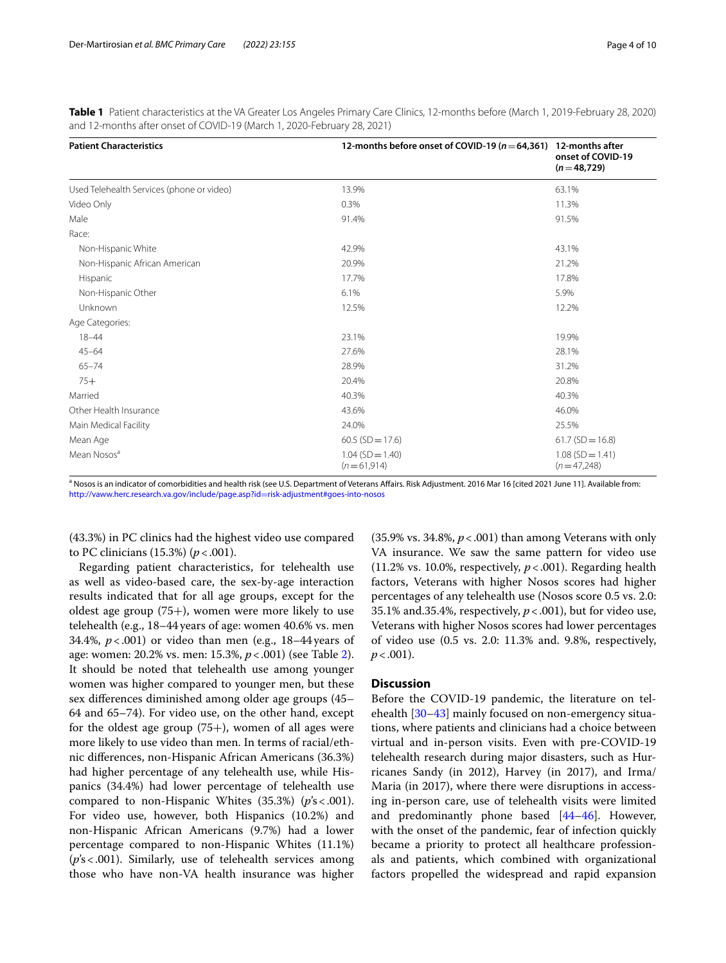| <b>Patient Characteristics</b>            | 12-months before onset of COVID-19 ( $n = 64,361$ ) | 12-months after<br>onset of COVID-19<br>$(n=48,729)$ |
|-------------------------------------------|-----------------------------------------------------|------------------------------------------------------|
| Used Telehealth Services (phone or video) | 13.9%                                               | 63.1%                                                |
| Video Only                                | 0.3%                                                | 11.3%                                                |
| Male                                      | 91.4%                                               | 91.5%                                                |
| Race:                                     |                                                     |                                                      |
| Non-Hispanic White                        | 42.9%                                               | 43.1%                                                |
| Non-Hispanic African American             | 20.9%                                               | 21.2%                                                |
| Hispanic                                  | 17.7%                                               | 17.8%                                                |
| Non-Hispanic Other                        | 6.1%                                                | 5.9%                                                 |
| Unknown                                   | 12.5%                                               | 12.2%                                                |
| Age Categories:                           |                                                     |                                                      |
| $18 - 44$                                 | 23.1%                                               | 19.9%                                                |
| $45 - 64$                                 | 27.6%                                               | 28.1%                                                |
| $65 - 74$                                 | 28.9%                                               | 31.2%                                                |
| $75+$                                     | 20.4%                                               | 20.8%                                                |
| Married                                   | 40.3%                                               | 40.3%                                                |
| Other Health Insurance                    | 43.6%                                               | 46.0%                                                |
| Main Medical Facility                     | 24.0%                                               | 25.5%                                                |
| Mean Age                                  | $60.5$ (SD = 17.6)                                  | $61.7(SD = 16.8)$                                    |
| Mean Nosos <sup>a</sup>                   | $1.04$ (SD = 1.40)<br>$(n=61,914)$                  | $1.08$ (SD = 1.41)<br>$(n=47,248)$                   |

<span id="page-3-0"></span>**Table 1** Patient characteristics at the VA Greater Los Angeles Primary Care Clinics, 12-months before (March 1, 2019-February 28, 2020) and 12-months after onset of COVID-19 (March 1, 2020-February 28, 2021)

<sup>a</sup> Nosos is an indicator of comorbidities and health risk (see U.S. Department of Veterans Affairs. Risk Adjustment. 2016 Mar 16 [cited 2021 June 11]. Available from: [http://vaww.herc.research.va.gov/include/page.asp?id](http://vaww.herc.research.va.gov/include/page.asp?id=risk-adjustment#goes-into-nosos)=risk-adjustment#goes-into-nosos

(43.3%) in PC clinics had the highest video use compared to PC clinicians (15.3%) (*p*<.001).

Regarding patient characteristics, for telehealth use as well as video-based care, the sex-by-age interaction results indicated that for all age groups, except for the oldest age group (75+), women were more likely to use telehealth (e.g., 18–44years of age: women 40.6% vs. men 34.4%, *p*<.001) or video than men (e.g., 18–44 years of age: women: 20.2% vs. men: 15.3%, *p*<.001) (see Table [2](#page-5-0)). It should be noted that telehealth use among younger women was higher compared to younger men, but these sex diferences diminished among older age groups (45– 64 and 65–74). For video use, on the other hand, except for the oldest age group  $(75+)$ , women of all ages were more likely to use video than men. In terms of racial/ethnic diferences, non-Hispanic African Americans (36.3%) had higher percentage of any telehealth use, while Hispanics (34.4%) had lower percentage of telehealth use compared to non-Hispanic Whites (35.3%) (*p*'s<.001). For video use, however, both Hispanics (10.2%) and non-Hispanic African Americans (9.7%) had a lower percentage compared to non-Hispanic Whites (11.1%) (*p*'s<.001). Similarly, use of telehealth services among those who have non-VA health insurance was higher

 $(35.9\% \text{ vs. } 34.8\%, p < .001)$  than among Veterans with only VA insurance. We saw the same pattern for video use  $(11.2\% \text{ vs. } 10.0\%$ , respectively,  $p < .001$ ). Regarding health factors, Veterans with higher Nosos scores had higher percentages of any telehealth use (Nosos score 0.5 vs. 2.0: 35.1% and.35.4%, respectively,  $p < .001$ ), but for video use, Veterans with higher Nosos scores had lower percentages of video use (0.5 vs. 2.0: 11.3% and. 9.8%, respectively,  $p < .001$ ).

# **Discussion**

Before the COVID-19 pandemic, the literature on telehealth [\[30](#page-8-16)[–43\]](#page-8-17) mainly focused on non-emergency situations, where patients and clinicians had a choice between virtual and in-person visits. Even with pre-COVID-19 telehealth research during major disasters, such as Hurricanes Sandy (in 2012), Harvey (in 2017), and Irma/ Maria (in 2017), where there were disruptions in accessing in-person care, use of telehealth visits were limited and predominantly phone based [[44–](#page-8-18)[46](#page-8-19)]. However, with the onset of the pandemic, fear of infection quickly became a priority to protect all healthcare professionals and patients, which combined with organizational factors propelled the widespread and rapid expansion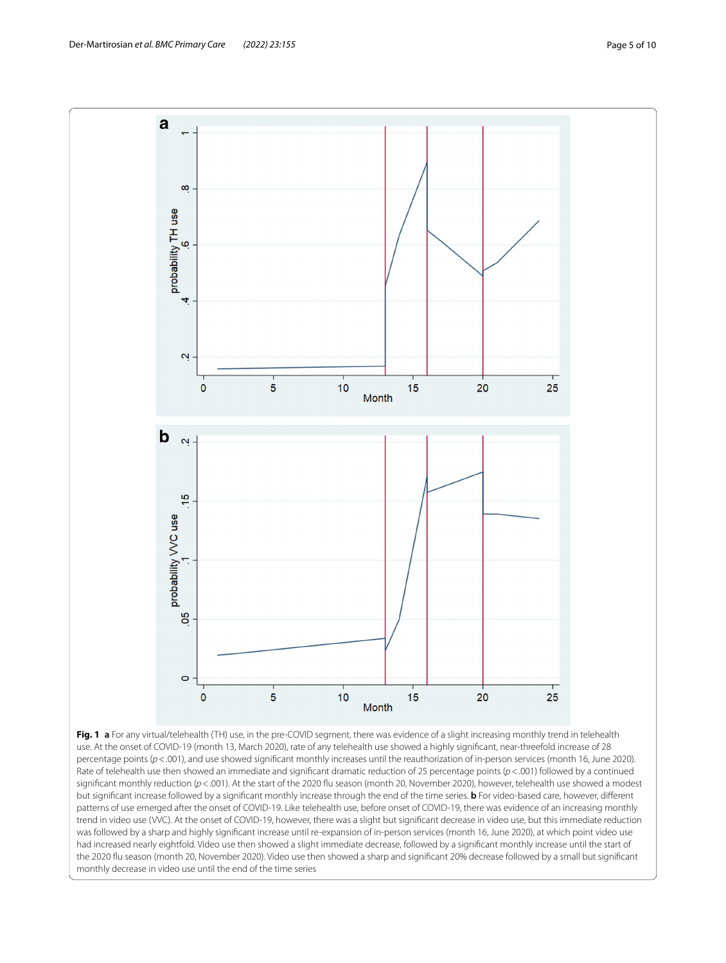

<span id="page-4-0"></span>Rate of telehealth use then showed an immediate and signifcant dramatic reduction of 25 percentage points (*p*<.001) followed by a continued significant monthly reduction ( $p < .001$ ). At the start of the 2020 flu season (month 20, November 2020), however, telehealth use showed a modest but signifcant increase followed by a signifcant monthly increase through the end of the time series. **b** For video-based care, however, diferent patterns of use emerged after the onset of COVID-19. Like telehealth use, before onset of COVID-19, there was evidence of an increasing monthly trend in video use (VVC). At the onset of COVID-19, however, there was a slight but signifcant decrease in video use, but this immediate reduction was followed by a sharp and highly signifcant increase until re-expansion of in-person services (month 16, June 2020), at which point video use had increased nearly eightfold. Video use then showed a slight immediate decrease, followed by a signifcant monthly increase until the start of the 2020 fu season (month 20, November 2020). Video use then showed a sharp and signifcant 20% decrease followed by a small but signifcant monthly decrease in video use until the end of the time series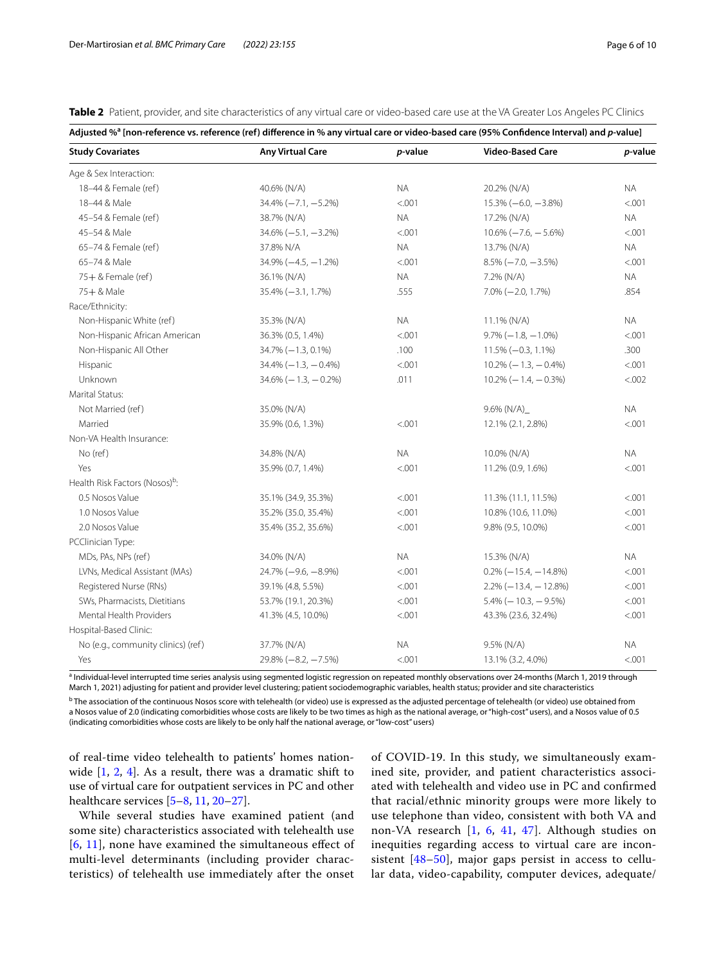<span id="page-5-0"></span>

|  |  |  |  |  |  | Table 2 Patient, provider, and site characteristics of any virtual care or video-based care use at the VA Greater Los Angeles PC Clinics |
|--|--|--|--|--|--|------------------------------------------------------------------------------------------------------------------------------------------|
|--|--|--|--|--|--|------------------------------------------------------------------------------------------------------------------------------------------|

| Adjusted % <sup>a</sup> [non-reference vs. reference (ref) difference in % any virtual care or video-based care (95% Confidence Interval) and p-value] |                         |           |                          |                 |  |  |  |
|--------------------------------------------------------------------------------------------------------------------------------------------------------|-------------------------|-----------|--------------------------|-----------------|--|--|--|
| <b>Study Covariates</b>                                                                                                                                | <b>Any Virtual Care</b> | p-value   | <b>Video-Based Care</b>  | <i>p</i> -value |  |  |  |
| Age & Sex Interaction:                                                                                                                                 |                         |           |                          |                 |  |  |  |
| 18-44 & Female (ref)                                                                                                                                   | 40.6% (N/A)             | <b>NA</b> | 20.2% (N/A)              | <b>NA</b>       |  |  |  |
| 18-44 & Male                                                                                                                                           | $34.4\% (-7.1, -5.2\%)$ | < .001    | $15.3\% (-6.0, -3.8\%)$  | < .001          |  |  |  |
| 45-54 & Female (ref)                                                                                                                                   | 38.7% (N/A)             | <b>NA</b> | 17.2% (N/A)              | <b>NA</b>       |  |  |  |
| 45-54 & Male                                                                                                                                           | $34.6\% (-5.1, -3.2\%)$ | < .001    | $10.6\% (-7.6, -5.6\%)$  | < .001          |  |  |  |
| 65-74 & Female (ref)                                                                                                                                   | 37.8% N/A               | <b>NA</b> | 13.7% (N/A)              | <b>NA</b>       |  |  |  |
| 65-74 & Male                                                                                                                                           | $34.9\% (-4.5, -1.2\%)$ | < .001    | $8.5\% (-7.0, -3.5\%)$   | < .001          |  |  |  |
| 75+ & Female (ref)                                                                                                                                     | 36.1% (N/A)             | <b>NA</b> | 7.2% (N/A)               | <b>NA</b>       |  |  |  |
| 75+ & Male                                                                                                                                             | $35.4\% (-3.1, 1.7\%)$  | .555      | $7.0\% (-2.0, 1.7\%)$    | .854            |  |  |  |
| Race/Ethnicity:                                                                                                                                        |                         |           |                          |                 |  |  |  |
| Non-Hispanic White (ref)                                                                                                                               | 35.3% (N/A)             | <b>NA</b> | 11.1% (N/A)              | <b>NA</b>       |  |  |  |
| Non-Hispanic African American                                                                                                                          | 36.3% (0.5, 1.4%)       | < .001    | $9.7\% (-1.8, -1.0\%)$   | < .001          |  |  |  |
| Non-Hispanic All Other                                                                                                                                 | 34.7% (-1.3, 0.1%)      | .100      | $11.5\% (-0.3, 1.1\%)$   | .300            |  |  |  |
| Hispanic                                                                                                                                               | $34.4\% (-1.3, -0.4\%)$ | < .001    | $10.2\% (-1.3, -0.4\%)$  | < .001          |  |  |  |
| Unknown                                                                                                                                                | $34.6\% (-1.3, -0.2\%)$ | .011      | $10.2\% (-1.4, -0.3\%)$  | < .002          |  |  |  |
| Marital Status:                                                                                                                                        |                         |           |                          |                 |  |  |  |
| Not Married (ref)                                                                                                                                      | 35.0% (N/A)             |           | $9.6\%$ (N/A)            | <b>NA</b>       |  |  |  |
| Married                                                                                                                                                | 35.9% (0.6, 1.3%)       | < .001    | 12.1% (2.1, 2.8%)        | < .001          |  |  |  |
| Non-VA Health Insurance:                                                                                                                               |                         |           |                          |                 |  |  |  |
| No (ref)                                                                                                                                               | 34.8% (N/A)             | <b>NA</b> | 10.0% (N/A)              | <b>NA</b>       |  |  |  |
| Yes                                                                                                                                                    | 35.9% (0.7, 1.4%)       | < .001    | 11.2% (0.9, 1.6%)        | < .001          |  |  |  |
| Health Risk Factors (Nosos) <sup>b</sup> :                                                                                                             |                         |           |                          |                 |  |  |  |
| 0.5 Nosos Value                                                                                                                                        | 35.1% (34.9, 35.3%)     | < .001    | 11.3% (11.1, 11.5%)      | < .001          |  |  |  |
| 1.0 Nosos Value                                                                                                                                        | 35.2% (35.0, 35.4%)     | < .001    | 10.8% (10.6, 11.0%)      | < .001          |  |  |  |
| 2.0 Nosos Value                                                                                                                                        | 35.4% (35.2, 35.6%)     | < .001    | 9.8% (9.5, 10.0%)        | < .001          |  |  |  |
| PCClinician Type:                                                                                                                                      |                         |           |                          |                 |  |  |  |
| MDs, PAs, NPs (ref)                                                                                                                                    | 34.0% (N/A)             | ΝA        | 15.3% (N/A)              | NA.             |  |  |  |
| LVNs, Medical Assistant (MAs)                                                                                                                          | $24.7\%(-9.6, -8.9\%)$  | < .001    | $0.2\% (-15.4, -14.8\%)$ | < .001          |  |  |  |
| Registered Nurse (RNs)                                                                                                                                 | 39.1% (4.8, 5.5%)       | < .001    | $2.2\% (-13.4, -12.8\%)$ | < .001          |  |  |  |
| SWs, Pharmacists, Dietitians                                                                                                                           | 53.7% (19.1, 20.3%)     | < .001    | $5.4\%$ (-10.3, -9.5%)   | < .001          |  |  |  |
| Mental Health Providers                                                                                                                                | 41.3% (4.5, 10.0%)      | < .001    | 43.3% (23.6, 32.4%)      | < .001          |  |  |  |
| Hospital-Based Clinic:                                                                                                                                 |                         |           |                          |                 |  |  |  |
| No (e.g., community clinics) (ref)                                                                                                                     | 37.7% (N/A)             | <b>NA</b> | 9.5% (N/A)               | NA.             |  |  |  |
| Yes                                                                                                                                                    | $29.8\% (-8.2, -7.5\%)$ | < .001    | 13.1% (3.2, 4.0%)        | < .001          |  |  |  |

<sup>a</sup> Individual-level interrupted time series analysis using segmented logistic regression on repeated monthly observations over 24-months (March 1, 2019 through March 1, 2021) adjusting for patient and provider level clustering; patient sociodemographic variables, health status; provider and site characteristics

 $^{\rm b}$  The association of the continuous Nosos score with telehealth (or video) use is expressed as the adjusted percentage of telehealth (or video) use obtained from a Nosos value of 2.0 (indicating comorbidities whose costs are likely to be two times as high as the national average, or "high-cost" users), and a Nosos value of 0.5 (indicating comorbidities whose costs are likely to be only half the national average, or "low-cost" users)

of real-time video telehealth to patients' homes nationwide  $[1, 2, 4]$  $[1, 2, 4]$  $[1, 2, 4]$  $[1, 2, 4]$  $[1, 2, 4]$  $[1, 2, 4]$ . As a result, there was a dramatic shift to use of virtual care for outpatient services in PC and other healthcare services  $[5-8, 11, 20-27]$  $[5-8, 11, 20-27]$  $[5-8, 11, 20-27]$  $[5-8, 11, 20-27]$  $[5-8, 11, 20-27]$  $[5-8, 11, 20-27]$  $[5-8, 11, 20-27]$ .

While several studies have examined patient (and some site) characteristics associated with telehealth use [[6](#page-7-4), [11\]](#page-8-3), none have examined the simultaneous efect of multi-level determinants (including provider characteristics) of telehealth use immediately after the onset of COVID-19. In this study, we simultaneously examined site, provider, and patient characteristics associated with telehealth and video use in PC and confrmed that racial/ethnic minority groups were more likely to use telephone than video, consistent with both VA and non-VA research [[1,](#page-7-0) [6,](#page-7-4) [41](#page-8-20), [47](#page-8-21)]. Although studies on inequities regarding access to virtual care are inconsistent [[48–](#page-8-22)[50\]](#page-9-0), major gaps persist in access to cellular data, video-capability, computer devices, adequate/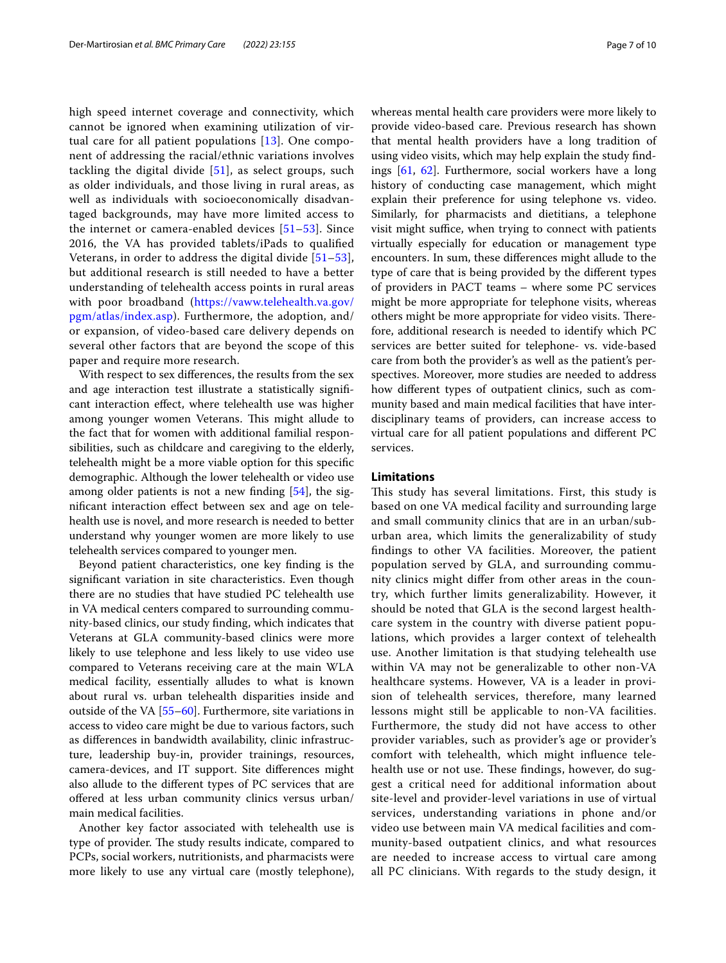high speed internet coverage and connectivity, which cannot be ignored when examining utilization of virtual care for all patient populations [[13](#page-8-5)]. One component of addressing the racial/ethnic variations involves tackling the digital divide [\[51](#page-9-1)], as select groups, such as older individuals, and those living in rural areas, as well as individuals with socioeconomically disadvantaged backgrounds, may have more limited access to the internet or camera-enabled devices [[51–](#page-9-1)[53\]](#page-9-2). Since 2016, the VA has provided tablets/iPads to qualifed Veterans, in order to address the digital divide  $[51-53]$  $[51-53]$ , but additional research is still needed to have a better understanding of telehealth access points in rural areas with poor broadband [\(https://vaww.telehealth.va.gov/](https://vaww.telehealth.va.gov/pgm/atlas/index.asp) [pgm/atlas/index.asp\)](https://vaww.telehealth.va.gov/pgm/atlas/index.asp). Furthermore, the adoption, and/ or expansion, of video-based care delivery depends on several other factors that are beyond the scope of this paper and require more research.

With respect to sex diferences, the results from the sex and age interaction test illustrate a statistically signifcant interaction efect, where telehealth use was higher among younger women Veterans. This might allude to the fact that for women with additional familial responsibilities, such as childcare and caregiving to the elderly, telehealth might be a more viable option for this specifc demographic. Although the lower telehealth or video use among older patients is not a new fnding [\[54](#page-9-3)], the signifcant interaction efect between sex and age on telehealth use is novel, and more research is needed to better understand why younger women are more likely to use telehealth services compared to younger men.

Beyond patient characteristics, one key fnding is the signifcant variation in site characteristics. Even though there are no studies that have studied PC telehealth use in VA medical centers compared to surrounding community-based clinics, our study fnding, which indicates that Veterans at GLA community-based clinics were more likely to use telephone and less likely to use video use compared to Veterans receiving care at the main WLA medical facility, essentially alludes to what is known about rural vs. urban telehealth disparities inside and outside of the VA [\[55](#page-9-4)–[60\]](#page-9-5). Furthermore, site variations in access to video care might be due to various factors, such as diferences in bandwidth availability, clinic infrastructure, leadership buy-in, provider trainings, resources, camera-devices, and IT support. Site diferences might also allude to the diferent types of PC services that are ofered at less urban community clinics versus urban/ main medical facilities.

Another key factor associated with telehealth use is type of provider. The study results indicate, compared to PCPs, social workers, nutritionists, and pharmacists were more likely to use any virtual care (mostly telephone), whereas mental health care providers were more likely to provide video-based care. Previous research has shown that mental health providers have a long tradition of using video visits, which may help explain the study fndings [[61,](#page-9-6) [62](#page-9-7)]. Furthermore, social workers have a long history of conducting case management, which might explain their preference for using telephone vs. video. Similarly, for pharmacists and dietitians, a telephone visit might suffice, when trying to connect with patients virtually especially for education or management type encounters. In sum, these diferences might allude to the type of care that is being provided by the diferent types of providers in PACT teams – where some PC services might be more appropriate for telephone visits, whereas others might be more appropriate for video visits. Therefore, additional research is needed to identify which PC services are better suited for telephone- vs. vide-based care from both the provider's as well as the patient's perspectives. Moreover, more studies are needed to address how diferent types of outpatient clinics, such as community based and main medical facilities that have interdisciplinary teams of providers, can increase access to virtual care for all patient populations and diferent PC services.

# **Limitations**

This study has several limitations. First, this study is based on one VA medical facility and surrounding large and small community clinics that are in an urban/suburban area, which limits the generalizability of study fndings to other VA facilities. Moreover, the patient population served by GLA, and surrounding community clinics might difer from other areas in the country, which further limits generalizability. However, it should be noted that GLA is the second largest healthcare system in the country with diverse patient populations, which provides a larger context of telehealth use. Another limitation is that studying telehealth use within VA may not be generalizable to other non-VA healthcare systems. However, VA is a leader in provision of telehealth services, therefore, many learned lessons might still be applicable to non-VA facilities. Furthermore, the study did not have access to other provider variables, such as provider's age or provider's comfort with telehealth, which might infuence telehealth use or not use. These findings, however, do suggest a critical need for additional information about site-level and provider-level variations in use of virtual services, understanding variations in phone and/or video use between main VA medical facilities and community-based outpatient clinics, and what resources are needed to increase access to virtual care among all PC clinicians. With regards to the study design, it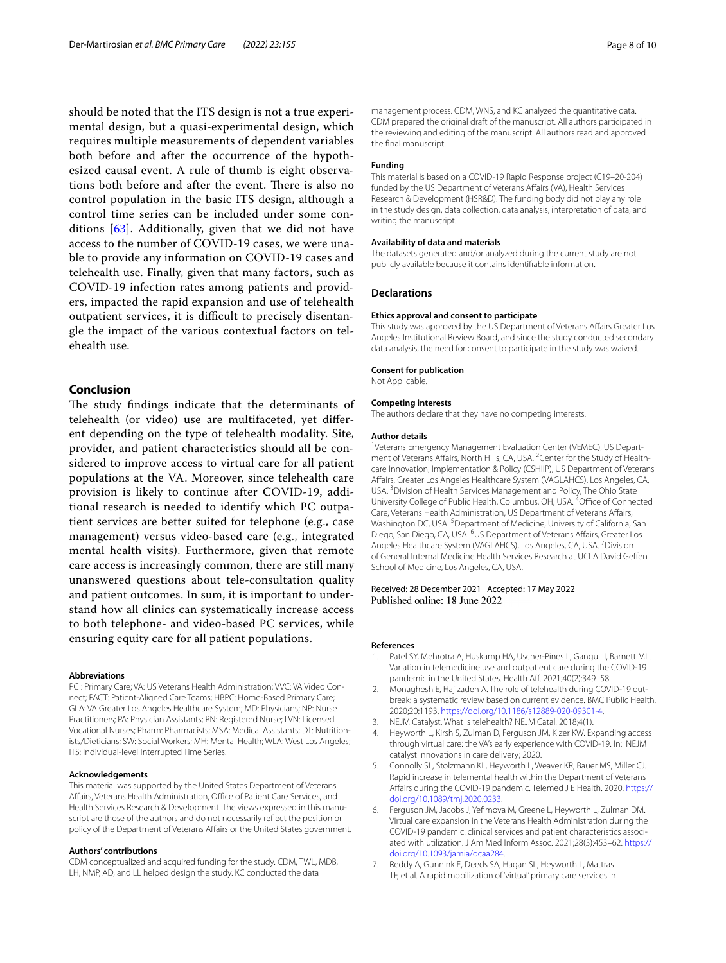should be noted that the ITS design is not a true experimental design, but a quasi-experimental design, which requires multiple measurements of dependent variables both before and after the occurrence of the hypothesized causal event. A rule of thumb is eight observations both before and after the event. There is also no control population in the basic ITS design, although a control time series can be included under some conditions [\[63](#page-9-8)]. Additionally, given that we did not have access to the number of COVID-19 cases, we were unable to provide any information on COVID-19 cases and telehealth use. Finally, given that many factors, such as COVID-19 infection rates among patients and providers, impacted the rapid expansion and use of telehealth outpatient services, it is difficult to precisely disentangle the impact of the various contextual factors on telehealth use.

# **Conclusion**

The study findings indicate that the determinants of telehealth (or video) use are multifaceted, yet diferent depending on the type of telehealth modality. Site, provider, and patient characteristics should all be considered to improve access to virtual care for all patient populations at the VA. Moreover, since telehealth care provision is likely to continue after COVID-19, additional research is needed to identify which PC outpatient services are better suited for telephone (e.g., case management) versus video-based care (e.g., integrated mental health visits). Furthermore, given that remote care access is increasingly common, there are still many unanswered questions about tele-consultation quality and patient outcomes. In sum, it is important to understand how all clinics can systematically increase access to both telephone- and video-based PC services, while ensuring equity care for all patient populations.

#### **Abbreviations**

PC : Primary Care; VA: US Veterans Health Administration; VVC: VA Video Connect; PACT: Patient-Aligned Care Teams; HBPC: Home-Based Primary Care; GLA: VA Greater Los Angeles Healthcare System; MD: Physicians; NP: Nurse Practitioners; PA: Physician Assistants; RN: Registered Nurse; LVN: Licensed Vocational Nurses; Pharm: Pharmacists; MSA: Medical Assistants; DT: Nutrition‑ ists/Dieticians; SW: Social Workers; MH: Mental Health; WLA: West Los Angeles; ITS: Individual-level Interrupted Time Series.

#### **Acknowledgements**

This material was supported by the United States Department of Veterans Affairs, Veterans Health Administration, Office of Patient Care Services, and Health Services Research & Development. The views expressed in this manuscript are those of the authors and do not necessarily refect the position or policy of the Department of Veterans Afairs or the United States government.

#### **Authors' contributions**

CDM conceptualized and acquired funding for the study. CDM, TWL, MDB, LH, NMP, AD, and LL helped design the study. KC conducted the data

management process. CDM, WNS, and KC analyzed the quantitative data. CDM prepared the original draft of the manuscript. All authors participated in the reviewing and editing of the manuscript. All authors read and approved the fnal manuscript.

#### **Funding**

This material is based on a COVID-19 Rapid Response project (C19–20-204) funded by the US Department of Veterans Affairs (VA), Health Services Research & Development (HSR&D). The funding body did not play any role in the study design, data collection, data analysis, interpretation of data, and writing the manuscript.

#### **Availability of data and materials**

The datasets generated and/or analyzed during the current study are not publicly available because it contains identifable information.

### **Declarations**

#### **Ethics approval and consent to participate**

This study was approved by the US Department of Veterans Affairs Greater Los Angeles Institutional Review Board, and since the study conducted secondary data analysis, the need for consent to participate in the study was waived.

#### **Consent for publication**

Not Applicable.

#### **Competing interests**

The authors declare that they have no competing interests.

#### **Author details**

<sup>1</sup>Veterans Emergency Management Evaluation Center (VEMEC), US Department of Veterans Affairs, North Hills, CA, USA. <sup>2</sup> Center for the Study of Healthcare Innovation, Implementation & Policy (CSHIIP), US Department of Veterans Afairs, Greater Los Angeles Healthcare System (VAGLAHCS), Los Angeles, CA, USA. 3 Division of Health Services Management and Policy, The Ohio State University College of Public Health, Columbus, OH, USA. <sup>4</sup>Office of Connected Care, Veterans Health Administration, US Department of Veterans Afairs, Washington DC, USA.<sup>5</sup> Department of Medicine, University of California, San Diego, San Diego, CA, USA. <sup>6</sup>US Department of Veterans Affairs, Greater Los Angeles Healthcare System (VAGLAHCS), Los Angeles, CA, USA. <sup>7</sup> Division of General Internal Medicine Health Services Research at UCLA David Gefen School of Medicine, Los Angeles, CA, USA.

#### Received: 28 December 2021 Accepted: 17 May 2022 Published online: 18 June 2022

#### **References**

- <span id="page-7-0"></span>Patel SY, Mehrotra A, Huskamp HA, Uscher-Pines L, Ganguli I, Barnett ML. Variation in telemedicine use and outpatient care during the COVID-19 pandemic in the United States. Health Af. 2021;40(2):349–58.
- <span id="page-7-1"></span>2. Monaghesh E, Hajizadeh A. The role of telehealth during COVID-19 outbreak: a systematic review based on current evidence. BMC Public Health. 2020;20:1193. <https://doi.org/10.1186/s12889-020-09301-4>.
- <span id="page-7-2"></span>3. NEJM Catalyst. What is telehealth? NEJM Catal. 2018;4(1).
- <span id="page-7-5"></span>4. Heyworth L, Kirsh S, Zulman D, Ferguson JM, Kizer KW. Expanding access through virtual care: the VA's early experience with COVID-19. In: NEJM catalyst innovations in care delivery; 2020.
- <span id="page-7-6"></span>5. Connolly SL, Stolzmann KL, Heyworth L, Weaver KR, Bauer MS, Miller CJ. Rapid increase in telemental health within the Department of Veterans Afairs during the COVID-19 pandemic. Telemed J E Health. 2020. [https://](https://doi.org/10.1089/tmj.2020.0233) [doi.org/10.1089/tmj.2020.0233](https://doi.org/10.1089/tmj.2020.0233).
- <span id="page-7-4"></span>6. Ferguson JM, Jacobs J, Yefmova M, Greene L, Heyworth L, Zulman DM. Virtual care expansion in the Veterans Health Administration during the COVID-19 pandemic: clinical services and patient characteristics associated with utilization. J Am Med Inform Assoc. 2021;28(3):453–62. [https://](https://doi.org/10.1093/jamia/ocaa284) [doi.org/10.1093/jamia/ocaa284](https://doi.org/10.1093/jamia/ocaa284).
- <span id="page-7-3"></span>7. Reddy A, Gunnink E, Deeds SA, Hagan SL, Heyworth L, Mattras TF, et al. A rapid mobilization of 'virtual' primary care services in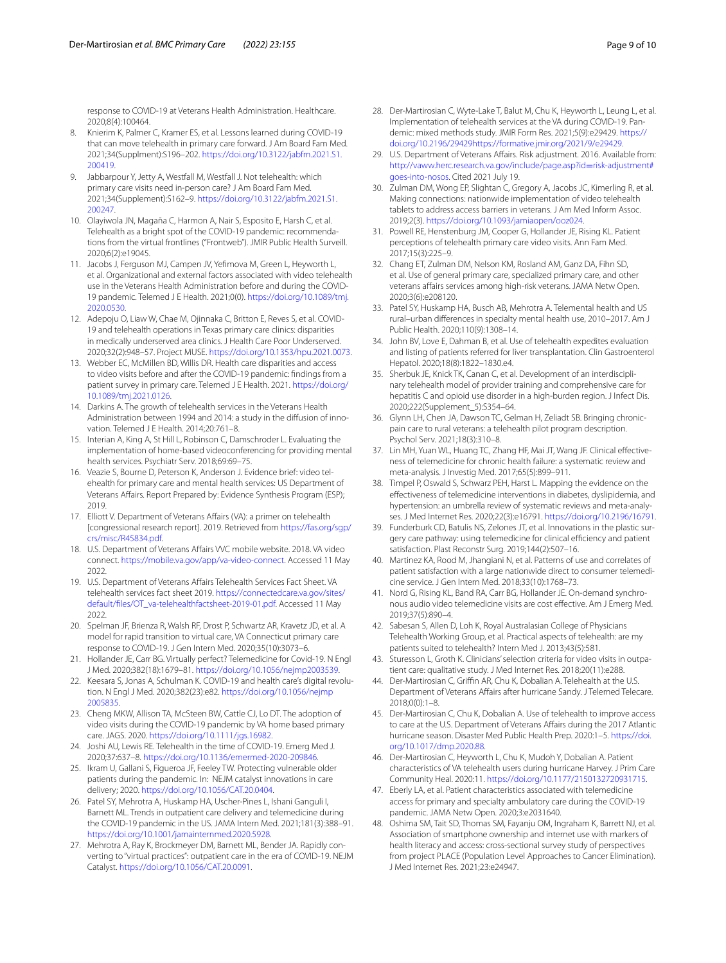response to COVID-19 at Veterans Health Administration. Healthcare. 2020;8(4):100464.

- <span id="page-8-0"></span>8. Knierim K, Palmer C, Kramer ES, et al. Lessons learned during COVID-19 that can move telehealth in primary care forward. J Am Board Fam Med. 2021;34(Supplment):S196–202. [https://doi.org/10.3122/jabfm.2021.S1.](https://doi.org/10.3122/jabfm.2021.S1.200419) [200419.](https://doi.org/10.3122/jabfm.2021.S1.200419)
- <span id="page-8-1"></span>9. Jabbarpour Y, Jetty A, Westfall M, Westfall J. Not telehealth: which primary care visits need in-person care? J Am Board Fam Med. 2021;34(Supplement):S162–9. [https://doi.org/10.3122/jabfm.2021.S1.](https://doi.org/10.3122/jabfm.2021.S1.200247) [200247.](https://doi.org/10.3122/jabfm.2021.S1.200247)
- <span id="page-8-2"></span>10. Olayiwola JN, Magaña C, Harmon A, Nair S, Esposito E, Harsh C, et al. Telehealth as a bright spot of the COVID-19 pandemic: recommendations from the virtual frontlines ("Frontweb"). JMIR Public Health Surveill. 2020;6(2):e19045.
- <span id="page-8-3"></span>11. Jacobs J, Ferguson MJ, Campen JV, Yefmova M, Green L, Heyworth L, et al. Organizational and external factors associated with video telehealth use in the Veterans Health Administration before and during the COVID-19 pandemic. Telemed J E Health. 2021;0(0). [https://doi.org/10.1089/tmj.](https://doi.org/10.1089/tmj.2020.0530) [2020.0530](https://doi.org/10.1089/tmj.2020.0530).
- <span id="page-8-4"></span>12. Adepoju O, Liaw W, Chae M, Ojinnaka C, Britton E, Reves S, et al. COVID-19 and telehealth operations in Texas primary care clinics: disparities in medically underserved area clinics. J Health Care Poor Underserved. 2020;32(2):948–57. Project MUSE. [https://doi.org/10.1353/hpu.2021.0073.](https://doi.org/10.1353/hpu.2021.0073)
- <span id="page-8-5"></span>13. Webber EC, McMillen BD, Willis DR. Health care disparities and access to video visits before and after the COVID-19 pandemic: fndings from a patient survey in primary care. Telemed J E Health. 2021. [https://doi.org/](https://doi.org/10.1089/tmj.2021.0126) [10.1089/tmj.2021.0126](https://doi.org/10.1089/tmj.2021.0126).
- <span id="page-8-6"></span>14. Darkins A. The growth of telehealth services in the Veterans Health Administration between 1994 and 2014: a study in the diffusion of innovation. Telemed J E Health. 2014;20:761–8.
- 15. Interian A, King A, St Hill L, Robinson C, Damschroder L. Evaluating the implementation of home-based videoconferencing for providing mental health services. Psychiatr Serv. 2018;69:69–75.
- <span id="page-8-15"></span>16. Veazie S, Bourne D, Peterson K, Anderson J. Evidence brief: video telehealth for primary care and mental health services: US Department of Veterans Afairs. Report Prepared by: Evidence Synthesis Program (ESP); 2019.
- 17. Elliott V. Department of Veterans Afairs (VA): a primer on telehealth [congressional research report]. 2019. Retrieved from [https://fas.org/sgp/](https://fas.org/sgp/crs/misc/R45834.pdf) [crs/misc/R45834.pdf.](https://fas.org/sgp/crs/misc/R45834.pdf)
- <span id="page-8-10"></span>18. U.S. Department of Veterans Afairs VVC mobile website. 2018. VA video connect.<https://mobile.va.gov/app/va-video-connect>. Accessed 11 May 2022.
- <span id="page-8-7"></span>19. U.S. Department of Veterans Afairs Telehealth Services Fact Sheet. VA telehealth services fact sheet 2019. [https://connectedcare.va.gov/sites/](https://connectedcare.va.gov/sites/default/files/OT_va-telehealthfactsheet-2019-01.pdf) [default/fles/OT\\_va-telehealthfactsheet-2019-01.pdf.](https://connectedcare.va.gov/sites/default/files/OT_va-telehealthfactsheet-2019-01.pdf) Accessed 11 May 2022.
- <span id="page-8-8"></span>20. Spelman JF, Brienza R, Walsh RF, Drost P, Schwartz AR, Kravetz JD, et al. A model for rapid transition to virtual care, VA Connecticut primary care response to COVID-19. J Gen Intern Med. 2020;35(10):3073–6.
- 21. Hollander JE, Carr BG. Virtually perfect? Telemedicine for Covid-19. N Engl J Med. 2020;382(18):1679–81. [https://doi.org/10.1056/nejmp2003539.](https://doi.org/10.1056/nejmp2003539)
- 22. Keesara S, Jonas A, Schulman K. COVID-19 and health care's digital revolution. N Engl J Med. 2020;382(23):e82. [https://doi.org/10.1056/nejmp](https://doi.org/10.1056/nejmp2005835) [2005835](https://doi.org/10.1056/nejmp2005835).
- <span id="page-8-12"></span>23. Cheng MKW, Allison TA, McSteen BW, Cattle CJ, Lo DT. The adoption of video visits during the COVID-19 pandemic by VA home based primary care. JAGS. 2020. [https://doi.org/10.1111/jgs.16982.](https://doi.org/10.1111/jgs.16982)
- 24. Joshi AU, Lewis RE. Telehealth in the time of COVID-19. Emerg Med J. 2020;37:637–8. <https://doi.org/10.1136/emermed-2020-209846>.
- <span id="page-8-13"></span>25. Ikram U, Gallani S, Figueroa JF, Feeley TW. Protecting vulnerable older patients during the pandemic. In: NEJM catalyst innovations in care delivery; 2020. [https://doi.org/10.1056/CAT.20.0404.](https://doi.org/10.1056/CAT.20.0404)
- 26. Patel SY, Mehrotra A, Huskamp HA, Uscher-Pines L, Ishani Ganguli I, Barnett ML. Trends in outpatient care delivery and telemedicine during the COVID-19 pandemic in the US. JAMA Intern Med. 2021;181(3):388–91. [https://doi.org/10.1001/jamainternmed.2020.5928.](https://doi.org/10.1001/jamainternmed.2020.5928)
- <span id="page-8-9"></span>27. Mehrotra A, Ray K, Brockmeyer DM, Barnett ML, Bender JA. Rapidly converting to "virtual practices": outpatient care in the era of COVID-19. NEJM Catalyst. [https://doi.org/10.1056/CAT.20.0091.](https://doi.org/10.1056/CAT.20.0091)
- <span id="page-8-11"></span>28. Der-Martirosian C, Wyte-Lake T, Balut M, Chu K, Heyworth L, Leung L, et al. Implementation of telehealth services at the VA during COVID-19. Pandemic: mixed methods study. JMIR Form Res. 2021;5(9):e29429. [https://](https://doi.org/10.2196/29429) [doi.org/10.2196/29429](https://doi.org/10.2196/29429)<https://formative.jmir.org/2021/9/e29429>.
- <span id="page-8-14"></span>29. U.S. Department of Veterans Affairs. Risk adjustment. 2016. Available from: [http://vaww.herc.research.va.gov/include/page.asp?id](http://vaww.herc.research.va.gov/include/page.asp?id=risk-adjustment#goes-into-nosos)=risk-adjustment# [goes-into-nosos](http://vaww.herc.research.va.gov/include/page.asp?id=risk-adjustment#goes-into-nosos). Cited 2021 July 19.
- <span id="page-8-16"></span>30. Zulman DM, Wong EP, Slightan C, Gregory A, Jacobs JC, Kimerling R, et al. Making connections: nationwide implementation of video telehealth tablets to address access barriers in veterans. J Am Med Inform Assoc. 2019;2(3). <https://doi.org/10.1093/jamiaopen/ooz024>.
- 31. Powell RE, Henstenburg JM, Cooper G, Hollander JE, Rising KL. Patient perceptions of telehealth primary care video visits. Ann Fam Med. 2017;15(3):225–9.
- 32. Chang ET, Zulman DM, Nelson KM, Rosland AM, Ganz DA, Fihn SD, et al. Use of general primary care, specialized primary care, and other veterans affairs services among high-risk veterans. JAMA Netw Open. 2020;3(6):e208120.
- 33. Patel SY, Huskamp HA, Busch AB, Mehrotra A. Telemental health and US rural–urban diferences in specialty mental health use, 2010–2017. Am J Public Health. 2020;110(9):1308–14.
- 34. John BV, Love E, Dahman B, et al. Use of telehealth expedites evaluation and listing of patients referred for liver transplantation. Clin Gastroenterol Hepatol. 2020;18(8):1822–1830.e4.
- 35. Sherbuk JE, Knick TK, Canan C, et al. Development of an interdisciplinary telehealth model of provider training and comprehensive care for hepatitis C and opioid use disorder in a high-burden region. J Infect Dis. 2020;222(Supplement\_5):S354–64.
- 36. Glynn LH, Chen JA, Dawson TC, Gelman H, Zeliadt SB. Bringing chronicpain care to rural veterans: a telehealth pilot program description. Psychol Serv. 2021;18(3):310–8.
- 37. Lin MH, Yuan WL, Huang TC, Zhang HF, Mai JT, Wang JF. Clinical effectiveness of telemedicine for chronic health failure: a systematic review and meta-analysis. J Investig Med. 2017;65(5):899–911.
- 38. Timpel P, Oswald S, Schwarz PEH, Harst L. Mapping the evidence on the efectiveness of telemedicine interventions in diabetes, dyslipidemia, and hypertension: an umbrella review of systematic reviews and meta-analyses. J Med Internet Res. 2020;22(3):e16791.<https://doi.org/10.2196/16791>.
- 39. Funderburk CD, Batulis NS, Zelones JT, et al. Innovations in the plastic surgery care pathway: using telemedicine for clinical efficiency and patient satisfaction. Plast Reconstr Surg. 2019;144(2):507–16.
- 40. Martinez KA, Rood M, Jhangiani N, et al. Patterns of use and correlates of patient satisfaction with a large nationwide direct to consumer telemedicine service. J Gen Intern Med. 2018;33(10):1768–73.
- <span id="page-8-20"></span>41. Nord G, Rising KL, Band RA, Carr BG, Hollander JE. On-demand synchronous audio video telemedicine visits are cost efective. Am J Emerg Med. 2019;37(5):890–4.
- 42. Sabesan S, Allen D, Loh K, Royal Australasian College of Physicians Telehealth Working Group, et al. Practical aspects of telehealth: are my patients suited to telehealth? Intern Med J. 2013;43(5):581.
- <span id="page-8-17"></span>43. Sturesson L, Groth K. Clinicians' selection criteria for video visits in outpatient care: qualitative study. J Med Internet Res. 2018;20(11):e288.
- <span id="page-8-18"></span>44. Der-Martirosian C, Griffin AR, Chu K, Dobalian A. Telehealth at the U.S. Department of Veterans Affairs after hurricane Sandy. J Telemed Telecare. 2018;0(0):1–8.
- 45. Der-Martirosian C, Chu K, Dobalian A. Use of telehealth to improve access to care at the U.S. Department of Veterans Affairs during the 2017 Atlantic hurricane season. Disaster Med Public Health Prep. 2020:1–5. [https://doi.](https://doi.org/10.1017/dmp.2020.88) [org/10.1017/dmp.2020.88](https://doi.org/10.1017/dmp.2020.88).
- <span id="page-8-19"></span>46. Der-Martirosian C, Heyworth L, Chu K, Mudoh Y, Dobalian A. Patient characteristics of VA telehealth users during hurricane Harvey. J Prim Care Community Heal. 2020:11. [https://doi.org/10.1177/2150132720931715.](https://doi.org/10.1177/2150132720931715)
- <span id="page-8-21"></span>47. Eberly LA, et al. Patient characteristics associated with telemedicine access for primary and specialty ambulatory care during the COVID-19 pandemic. JAMA Netw Open. 2020;3:e2031640.
- <span id="page-8-22"></span>48. Oshima SM, Tait SD, Thomas SM, Fayanju OM, Ingraham K, Barrett NJ, et al. Association of smartphone ownership and internet use with markers of health literacy and access: cross-sectional survey study of perspectives from project PLACE (Population Level Approaches to Cancer Elimination). J Med Internet Res. 2021;23:e24947.